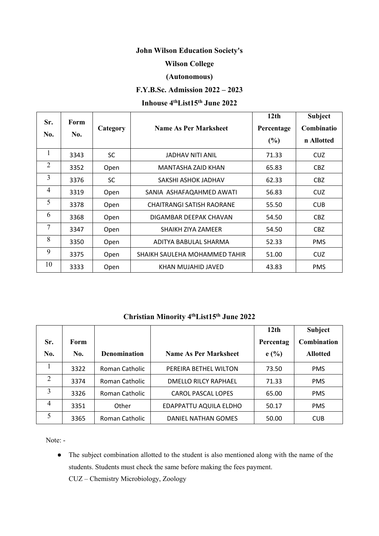# **John Wilson Education Society's**

### **Wilson College**

### **(Autonomous)**

## **F.Y.B.Sc. Admission 2022 – 2023**

#### **Inhouse 4 thList15 th June 2022**

| Sr.<br>No.     | Form<br>No. | Category  | <b>Name As Per Marksheet</b>     | 12 <sub>th</sub><br>Percentage<br>(%) | <b>Subject</b><br>Combinatio<br>n Allotted |
|----------------|-------------|-----------|----------------------------------|---------------------------------------|--------------------------------------------|
| $\mathbf{1}$   | 3343        | <b>SC</b> | <b>JADHAV NITI ANIL</b>          | 71.33                                 | <b>CUZ</b>                                 |
| 2              | 3352        | Open      | MANTASHA ZAID KHAN               | 65.83                                 | CBZ                                        |
| $\overline{3}$ | 3376        | <b>SC</b> | SAKSHI ASHOK JADHAV              | 62.33                                 | CBZ                                        |
| $\overline{4}$ | 3319        | Open      | SANIA ASHAFAQAHMED AWATI         | 56.83                                 | <b>CUZ</b>                                 |
| 5              | 3378        | Open      | <b>CHAITRANGI SATISH RAORANE</b> | 55.50                                 | <b>CUB</b>                                 |
| 6              | 3368        | Open      | DIGAMBAR DEEPAK CHAVAN           | 54.50                                 | CBZ                                        |
| 7              | 3347        | Open      | SHAIKH ZIYA ZAMEER               | 54.50                                 | CBZ                                        |
| 8              | 3350        | Open      | ADITYA BABULAL SHARMA            | 52.33                                 | <b>PMS</b>                                 |
| 9              | 3375        | Open      | SHAIKH SAULEHA MOHAMMED TAHIR    | 51.00                                 | <b>CUZ</b>                                 |
| 10             | 3333        | Open      | KHAN MUJAHID JAVED               | 43.83                                 | <b>PMS</b>                                 |

#### **Christian Minority 4 thList15 th June 2022**

|     |      |                     |                              | 12 <sub>th</sub> | Subject         |
|-----|------|---------------------|------------------------------|------------------|-----------------|
| Sr. | Form |                     |                              | Percentag        | Combination     |
| No. | No.  | <b>Denomination</b> | <b>Name As Per Marksheet</b> | e(%)             | <b>Allotted</b> |
|     | 3322 | Roman Catholic      | PEREIRA BETHEL WILTON        | 73.50            | <b>PMS</b>      |
| 2   | 3374 | Roman Catholic      | <b>DMELLO RILCY RAPHAEL</b>  | 71.33            | <b>PMS</b>      |
| 3   | 3326 | Roman Catholic      | <b>CAROL PASCAL LOPES</b>    | 65.00            | <b>PMS</b>      |
| 4   | 3351 | Other               | EDAPPATTU AQUILA ELDHO       | 50.17            | <b>PMS</b>      |
| 5   | 3365 | Roman Catholic      | DANIEL NATHAN GOMES          | 50.00            | <b>CUB</b>      |

Note: -

• The subject combination allotted to the student is also mentioned along with the name of the students. Students must check the same before making the fees payment. CUZ – Chemistry Microbiology, Zoology